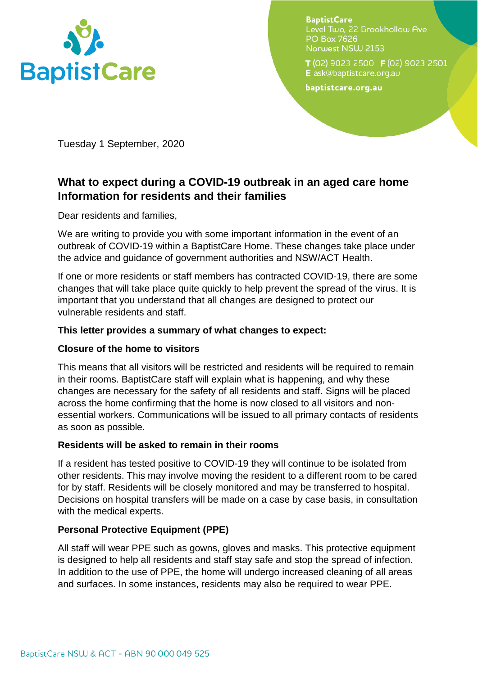

**BaptistCare** Level Two, 22 Brookhollow Ave **PO Box 7626** Norwest NSW 2153

T(02) 9023 2500 F(02) 9023 2501 E ask@baptistcare.org.au

baptistcare.org.au

Tuesday 1 September, 2020

# **What to expect during a COVID-19 outbreak in an aged care home Information for residents and their families**

Dear residents and families,

We are writing to provide you with some important information in the event of an outbreak of COVID-19 within a BaptistCare Home. These changes take place under the advice and guidance of government authorities and NSW/ACT Health.

If one or more residents or staff members has contracted COVID-19, there are some changes that will take place quite quickly to help prevent the spread of the virus. It is important that you understand that all changes are designed to protect our vulnerable residents and staff.

# **This letter provides a summary of what changes to expect:**

## **Closure of the home to visitors**

This means that all visitors will be restricted and residents will be required to remain in their rooms. BaptistCare staff will explain what is happening, and why these changes are necessary for the safety of all residents and staff. Signs will be placed across the home confirming that the home is now closed to all visitors and nonessential workers. Communications will be issued to all primary contacts of residents as soon as possible.

## **Residents will be asked to remain in their rooms**

If a resident has tested positive to COVID-19 they will continue to be isolated from other residents. This may involve moving the resident to a different room to be cared for by staff. Residents will be closely monitored and may be transferred to hospital. Decisions on hospital transfers will be made on a case by case basis, in consultation with the medical experts.

# **Personal Protective Equipment (PPE)**

All staff will wear PPE such as gowns, gloves and masks. This protective equipment is designed to help all residents and staff stay safe and stop the spread of infection. In addition to the use of PPE, the home will undergo increased cleaning of all areas and surfaces. In some instances, residents may also be required to wear PPE.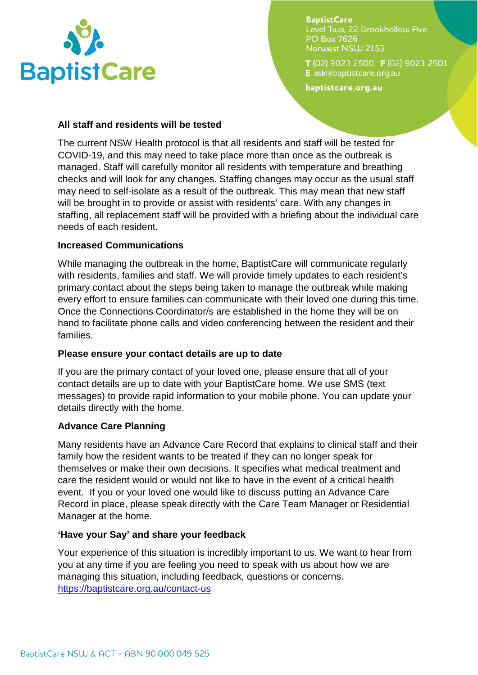

**BaptistCare** Level Two, 22 Brookhollow Ave **PO Box 7626** Norwest NSW 2153

T(02) 9023 2500 F(02) 9023 2501 E ask@baptistcare.org.au

baptistcare.org.au

#### **All staff and residents will be tested**

The current NSW Health protocol is that all residents and staff will be tested for COVID-19, and this may need to take place more than once as the outbreak is managed. Staff will carefully monitor all residents with temperature and breathing checks and will look for any changes. Staffing changes may occur as the usual staff may need to self-isolate as a result of the outbreak. This may mean that new staff will be brought in to provide or assist with residents' care. With any changes in staffing, all replacement staff will be provided with a briefing about the individual care needs of each resident.

## **Increased Communications**

While managing the outbreak in the home, BaptistCare will communicate regularly with residents, families and staff. We will provide timely updates to each resident's primary contact about the steps being taken to manage the outbreak while making every effort to ensure families can communicate with their loved one during this time. Once the Connections Coordinator/s are established in the home they will be on hand to facilitate phone calls and video conferencing between the resident and their families.

## **Please ensure your contact details are up to date**

If you are the primary contact of your loved one, please ensure that all of your contact details are up to date with your BaptistCare home. We use SMS (text messages) to provide rapid information to your mobile phone. You can update your details directly with the home.

## **Advance Care Planning**

Many residents have an Advance Care Record that explains to clinical staff and their family how the resident wants to be treated if they can no longer speak for themselves or make their own decisions. It specifies what medical treatment and care the resident would or would not like to have in the event of a critical health event. If you or your loved one would like to discuss putting an Advance Care Record in place, please speak directly with the Care Team Manager or Residential Manager at the home.

## **'Have your Say' and share your feedback**

Your experience of this situation is incredibly important to us. We want to hear from you at any time if you are feeling you need to speak with us about how we are managing this situation, including feedback, questions or concerns. <https://baptistcare.org.au/contact-us>